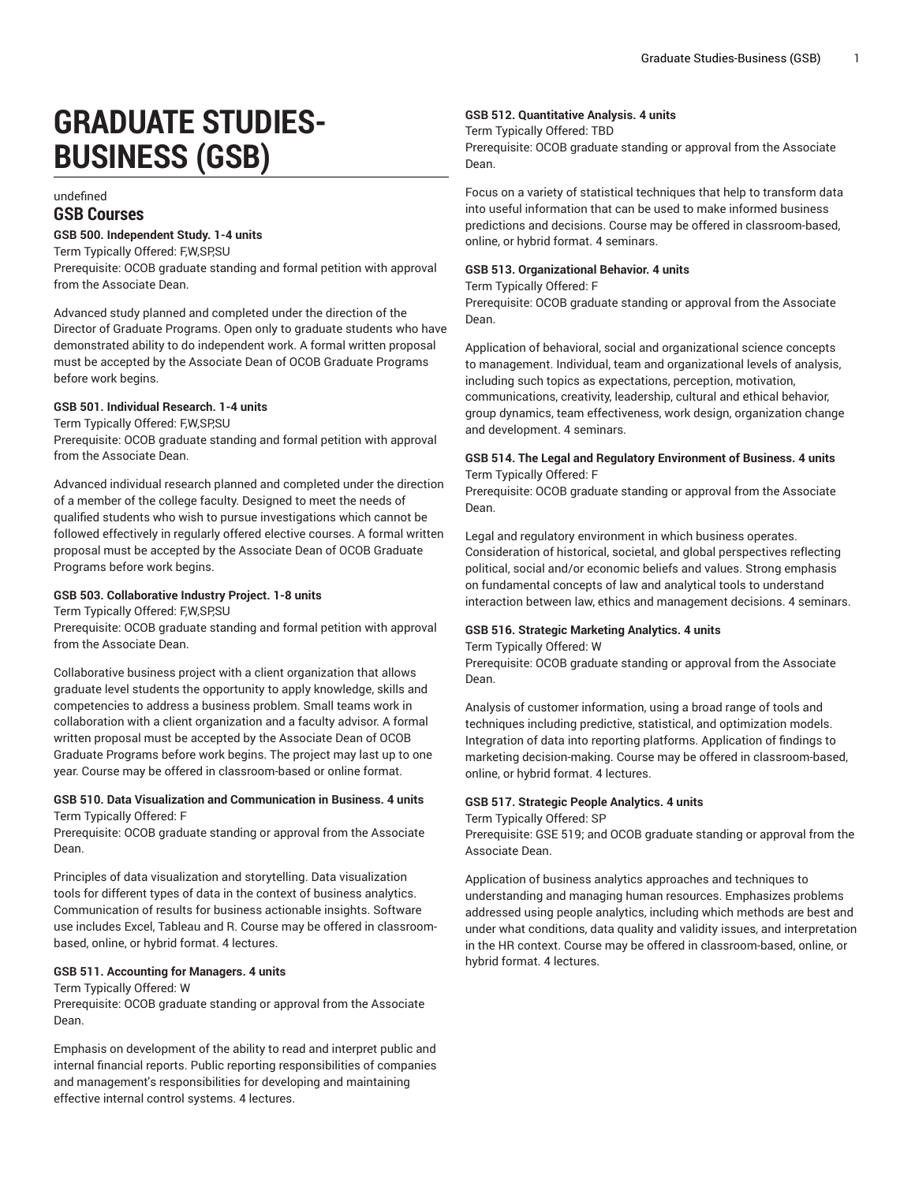# **GRADUATE STUDIES-BUSINESS (GSB)**

# undefined **GSB Courses**

## **GSB 500. Independent Study. 1-4 units**

Term Typically Offered: F,W,SP,SU

Prerequisite: OCOB graduate standing and formal petition with approval from the Associate Dean.

Advanced study planned and completed under the direction of the Director of Graduate Programs. Open only to graduate students who have demonstrated ability to do independent work. A formal written proposal must be accepted by the Associate Dean of OCOB Graduate Programs before work begins.

## **GSB 501. Individual Research. 1-4 units**

Term Typically Offered: F,W,SP,SU

Prerequisite: OCOB graduate standing and formal petition with approval from the Associate Dean.

Advanced individual research planned and completed under the direction of a member of the college faculty. Designed to meet the needs of qualified students who wish to pursue investigations which cannot be followed effectively in regularly offered elective courses. A formal written proposal must be accepted by the Associate Dean of OCOB Graduate Programs before work begins.

## **GSB 503. Collaborative Industry Project. 1-8 units**

Term Typically Offered: F,W,SP,SU

Prerequisite: OCOB graduate standing and formal petition with approval from the Associate Dean.

Collaborative business project with a client organization that allows graduate level students the opportunity to apply knowledge, skills and competencies to address a business problem. Small teams work in collaboration with a client organization and a faculty advisor. A formal written proposal must be accepted by the Associate Dean of OCOB Graduate Programs before work begins. The project may last up to one year. Course may be offered in classroom-based or online format.

## **GSB 510. Data Visualization and Communication in Business. 4 units** Term Typically Offered: F

Prerequisite: OCOB graduate standing or approval from the Associate Dean.

Principles of data visualization and storytelling. Data visualization tools for different types of data in the context of business analytics. Communication of results for business actionable insights. Software use includes Excel, Tableau and R. Course may be offered in classroombased, online, or hybrid format. 4 lectures.

## **GSB 511. Accounting for Managers. 4 units**

#### Term Typically Offered: W

Prerequisite: OCOB graduate standing or approval from the Associate Dean.

Emphasis on development of the ability to read and interpret public and internal financial reports. Public reporting responsibilities of companies and management's responsibilities for developing and maintaining effective internal control systems. 4 lectures.

# **GSB 512. Quantitative Analysis. 4 units**

## Term Typically Offered: TBD

Prerequisite: OCOB graduate standing or approval from the Associate Dean.

Focus on a variety of statistical techniques that help to transform data into useful information that can be used to make informed business predictions and decisions. Course may be offered in classroom-based, online, or hybrid format. 4 seminars.

## **GSB 513. Organizational Behavior. 4 units**

Term Typically Offered: F

Prerequisite: OCOB graduate standing or approval from the Associate Dean.

Application of behavioral, social and organizational science concepts to management. Individual, team and organizational levels of analysis, including such topics as expectations, perception, motivation, communications, creativity, leadership, cultural and ethical behavior, group dynamics, team effectiveness, work design, organization change and development. 4 seminars.

# **GSB 514. The Legal and Regulatory Environment of Business. 4 units** Term Typically Offered: F

Prerequisite: OCOB graduate standing or approval from the Associate Dean.

Legal and regulatory environment in which business operates. Consideration of historical, societal, and global perspectives reflecting political, social and/or economic beliefs and values. Strong emphasis on fundamental concepts of law and analytical tools to understand interaction between law, ethics and management decisions. 4 seminars.

## **GSB 516. Strategic Marketing Analytics. 4 units**

#### Term Typically Offered: W

Prerequisite: OCOB graduate standing or approval from the Associate Dean.

Analysis of customer information, using a broad range of tools and techniques including predictive, statistical, and optimization models. Integration of data into reporting platforms. Application of findings to marketing decision-making. Course may be offered in classroom-based, online, or hybrid format. 4 lectures.

#### **GSB 517. Strategic People Analytics. 4 units**

Term Typically Offered: SP

Prerequisite: GSE 519; and OCOB graduate standing or approval from the Associate Dean.

Application of business analytics approaches and techniques to understanding and managing human resources. Emphasizes problems addressed using people analytics, including which methods are best and under what conditions, data quality and validity issues, and interpretation in the HR context. Course may be offered in classroom-based, online, or hybrid format. 4 lectures.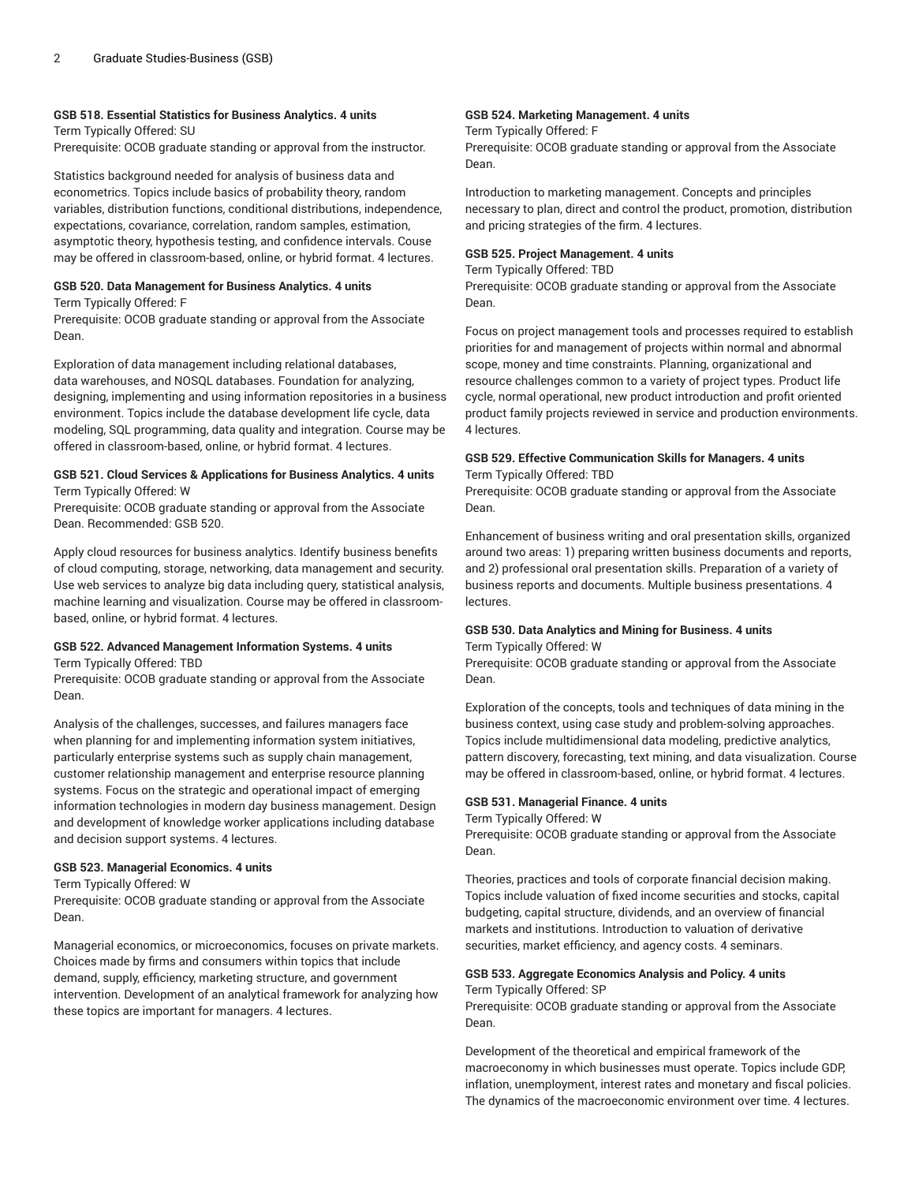## **GSB 518. Essential Statistics for Business Analytics. 4 units**

Term Typically Offered: SU Prerequisite: OCOB graduate standing or approval from the instructor.

Statistics background needed for analysis of business data and econometrics. Topics include basics of probability theory, random variables, distribution functions, conditional distributions, independence, expectations, covariance, correlation, random samples, estimation, asymptotic theory, hypothesis testing, and confidence intervals. Couse may be offered in classroom-based, online, or hybrid format. 4 lectures.

#### **GSB 520. Data Management for Business Analytics. 4 units**

Term Typically Offered: F

Prerequisite: OCOB graduate standing or approval from the Associate Dean.

Exploration of data management including relational databases, data warehouses, and NOSQL databases. Foundation for analyzing, designing, implementing and using information repositories in a business environment. Topics include the database development life cycle, data modeling, SQL programming, data quality and integration. Course may be offered in classroom-based, online, or hybrid format. 4 lectures.

#### **GSB 521. Cloud Services & Applications for Business Analytics. 4 units** Term Typically Offered: W

Prerequisite: OCOB graduate standing or approval from the Associate Dean. Recommended: GSB 520.

Apply cloud resources for business analytics. Identify business benefits of cloud computing, storage, networking, data management and security. Use web services to analyze big data including query, statistical analysis, machine learning and visualization. Course may be offered in classroombased, online, or hybrid format. 4 lectures.

#### **GSB 522. Advanced Management Information Systems. 4 units** Term Typically Offered: TBD

Prerequisite: OCOB graduate standing or approval from the Associate Dean.

Analysis of the challenges, successes, and failures managers face when planning for and implementing information system initiatives, particularly enterprise systems such as supply chain management, customer relationship management and enterprise resource planning systems. Focus on the strategic and operational impact of emerging information technologies in modern day business management. Design and development of knowledge worker applications including database and decision support systems. 4 lectures.

## **GSB 523. Managerial Economics. 4 units**

Term Typically Offered: W

Prerequisite: OCOB graduate standing or approval from the Associate Dean.

Managerial economics, or microeconomics, focuses on private markets. Choices made by firms and consumers within topics that include demand, supply, efficiency, marketing structure, and government intervention. Development of an analytical framework for analyzing how these topics are important for managers. 4 lectures.

## **GSB 524. Marketing Management. 4 units**

Term Typically Offered: F

Prerequisite: OCOB graduate standing or approval from the Associate Dean.

Introduction to marketing management. Concepts and principles necessary to plan, direct and control the product, promotion, distribution and pricing strategies of the firm. 4 lectures.

#### **GSB 525. Project Management. 4 units**

Term Typically Offered: TBD

Prerequisite: OCOB graduate standing or approval from the Associate Dean.

Focus on project management tools and processes required to establish priorities for and management of projects within normal and abnormal scope, money and time constraints. Planning, organizational and resource challenges common to a variety of project types. Product life cycle, normal operational, new product introduction and profit oriented product family projects reviewed in service and production environments. 4 lectures.

## **GSB 529. Effective Communication Skills for Managers. 4 units** Term Typically Offered: TBD

Prerequisite: OCOB graduate standing or approval from the Associate Dean.

Enhancement of business writing and oral presentation skills, organized around two areas: 1) preparing written business documents and reports, and 2) professional oral presentation skills. Preparation of a variety of business reports and documents. Multiple business presentations. 4 lectures.

# **GSB 530. Data Analytics and Mining for Business. 4 units**

Term Typically Offered: W

Prerequisite: OCOB graduate standing or approval from the Associate Dean.

Exploration of the concepts, tools and techniques of data mining in the business context, using case study and problem-solving approaches. Topics include multidimensional data modeling, predictive analytics, pattern discovery, forecasting, text mining, and data visualization. Course may be offered in classroom-based, online, or hybrid format. 4 lectures.

## **GSB 531. Managerial Finance. 4 units**

Term Typically Offered: W

Prerequisite: OCOB graduate standing or approval from the Associate Dean.

Theories, practices and tools of corporate financial decision making. Topics include valuation of fixed income securities and stocks, capital budgeting, capital structure, dividends, and an overview of financial markets and institutions. Introduction to valuation of derivative securities, market efficiency, and agency costs. 4 seminars.

# **GSB 533. Aggregate Economics Analysis and Policy. 4 units**

Term Typically Offered: SP

Prerequisite: OCOB graduate standing or approval from the Associate Dean.

Development of the theoretical and empirical framework of the macroeconomy in which businesses must operate. Topics include GDP, inflation, unemployment, interest rates and monetary and fiscal policies. The dynamics of the macroeconomic environment over time. 4 lectures.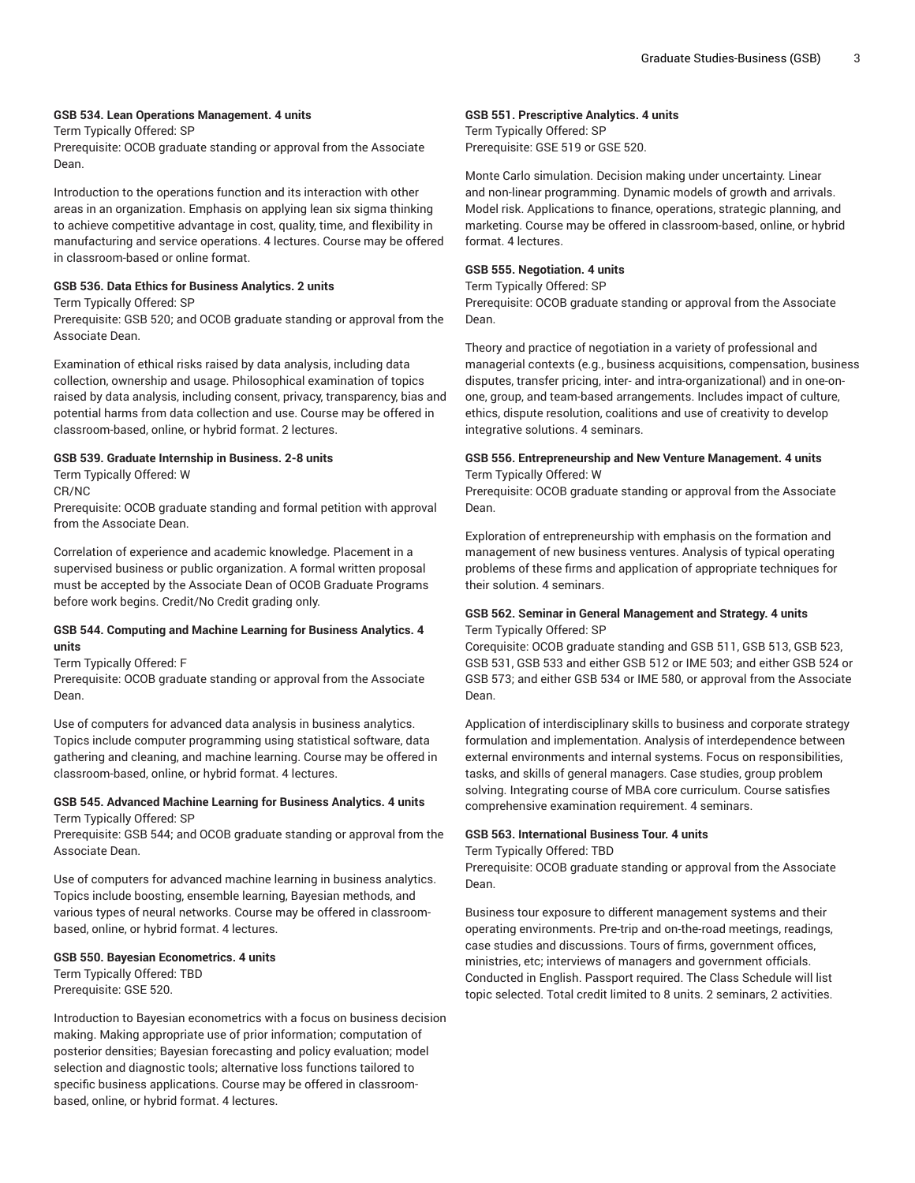# **GSB 534. Lean Operations Management. 4 units**

Term Typically Offered: SP

Prerequisite: OCOB graduate standing or approval from the Associate Dean.

Introduction to the operations function and its interaction with other areas in an organization. Emphasis on applying lean six sigma thinking to achieve competitive advantage in cost, quality, time, and flexibility in manufacturing and service operations. 4 lectures. Course may be offered in classroom-based or online format.

## **GSB 536. Data Ethics for Business Analytics. 2 units**

Term Typically Offered: SP

Prerequisite: GSB 520; and OCOB graduate standing or approval from the Associate Dean.

Examination of ethical risks raised by data analysis, including data collection, ownership and usage. Philosophical examination of topics raised by data analysis, including consent, privacy, transparency, bias and potential harms from data collection and use. Course may be offered in classroom-based, online, or hybrid format. 2 lectures.

# **GSB 539. Graduate Internship in Business. 2-8 units**

Term Typically Offered: W CR/NC

Prerequisite: OCOB graduate standing and formal petition with approval from the Associate Dean.

Correlation of experience and academic knowledge. Placement in a supervised business or public organization. A formal written proposal must be accepted by the Associate Dean of OCOB Graduate Programs before work begins. Credit/No Credit grading only.

# **GSB 544. Computing and Machine Learning for Business Analytics. 4 units**

Term Typically Offered: F

Prerequisite: OCOB graduate standing or approval from the Associate Dean.

Use of computers for advanced data analysis in business analytics. Topics include computer programming using statistical software, data gathering and cleaning, and machine learning. Course may be offered in classroom-based, online, or hybrid format. 4 lectures.

## **GSB 545. Advanced Machine Learning for Business Analytics. 4 units** Term Typically Offered: SP

Prerequisite: GSB 544; and OCOB graduate standing or approval from the Associate Dean.

Use of computers for advanced machine learning in business analytics. Topics include boosting, ensemble learning, Bayesian methods, and various types of neural networks. Course may be offered in classroombased, online, or hybrid format. 4 lectures.

## **GSB 550. Bayesian Econometrics. 4 units**

Term Typically Offered: TBD Prerequisite: GSE 520.

Introduction to Bayesian econometrics with a focus on business decision making. Making appropriate use of prior information; computation of posterior densities; Bayesian forecasting and policy evaluation; model selection and diagnostic tools; alternative loss functions tailored to specific business applications. Course may be offered in classroombased, online, or hybrid format. 4 lectures.

## **GSB 551. Prescriptive Analytics. 4 units**

Term Typically Offered: SP Prerequisite: GSE 519 or GSE 520.

Monte Carlo simulation. Decision making under uncertainty. Linear and non-linear programming. Dynamic models of growth and arrivals. Model risk. Applications to finance, operations, strategic planning, and marketing. Course may be offered in classroom-based, online, or hybrid format. 4 lectures.

# **GSB 555. Negotiation. 4 units**

Term Typically Offered: SP

Prerequisite: OCOB graduate standing or approval from the Associate Dean.

Theory and practice of negotiation in a variety of professional and managerial contexts (e.g., business acquisitions, compensation, business disputes, transfer pricing, inter- and intra-organizational) and in one-onone, group, and team-based arrangements. Includes impact of culture, ethics, dispute resolution, coalitions and use of creativity to develop integrative solutions. 4 seminars.

## **GSB 556. Entrepreneurship and New Venture Management. 4 units** Term Typically Offered: W

Prerequisite: OCOB graduate standing or approval from the Associate Dean.

Exploration of entrepreneurship with emphasis on the formation and management of new business ventures. Analysis of typical operating problems of these firms and application of appropriate techniques for their solution. 4 seminars.

## **GSB 562. Seminar in General Management and Strategy. 4 units** Term Typically Offered: SP

Corequisite: OCOB graduate standing and GSB 511, GSB 513, GSB 523, GSB 531, GSB 533 and either GSB 512 or IME 503; and either GSB 524 or GSB 573; and either GSB 534 or IME 580, or approval from the Associate Dean.

Application of interdisciplinary skills to business and corporate strategy formulation and implementation. Analysis of interdependence between external environments and internal systems. Focus on responsibilities, tasks, and skills of general managers. Case studies, group problem solving. Integrating course of MBA core curriculum. Course satisfies comprehensive examination requirement. 4 seminars.

# **GSB 563. International Business Tour. 4 units**

Term Typically Offered: TBD

Prerequisite: OCOB graduate standing or approval from the Associate Dean.

Business tour exposure to different management systems and their operating environments. Pre-trip and on-the-road meetings, readings, case studies and discussions. Tours of firms, government offices, ministries, etc; interviews of managers and government officials. Conducted in English. Passport required. The Class Schedule will list topic selected. Total credit limited to 8 units. 2 seminars, 2 activities.